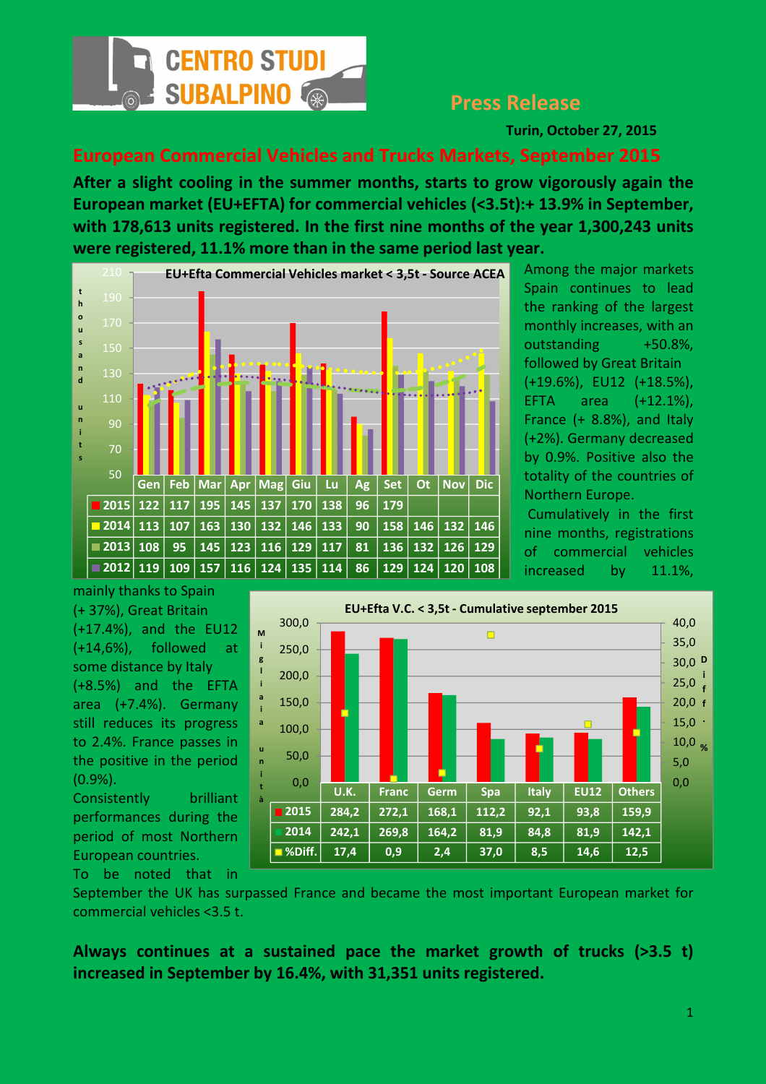

## Press Release

Turin, October 27, 2015

## European Commercial Vehicles and Trucks Markets, September 2015

After a slight cooling in the summer months, starts to grow vigorously again the European market (EU+EFTA) for commercial vehicles (<3.5t):+ 13.9% in September, with 178,613 units registered. In the first nine months of the year 1,300,243 units were registered, 11.1% more than in the same period last year.



Among the major markets Spain continues to lead the ranking of the largest monthly increases, with an outstanding +50.8%, followed by Great Britain (+19.6%), EU12 (+18.5%), EFTA area (+12.1%), France (+ 8.8%), and Italy (+2%). Germany decreased by 0.9%. Positive also the totality of the countries of Northern Europe.

 Cumulatively in the first nine months, registrations of commercial vehicles increased by 11.1%,

mainly thanks to Spain (+ 37%), Great Britain (+17.4%), and the EU12 (+14,6%), followed at some distance by Italy (+8.5%) and the EFTA area (+7.4%). Germany still reduces its progress to 2.4%. France passes in the positive in the period (0.9%). Consistently brilliant

performances during the period of most Northern European countries. To be noted that in



September the UK has surpassed France and became the most important European market for commercial vehicles <3.5 t.

Always continues at a sustained pace the market growth of trucks (>3.5 t) increased in September by 16.4%, with 31,351 units registered.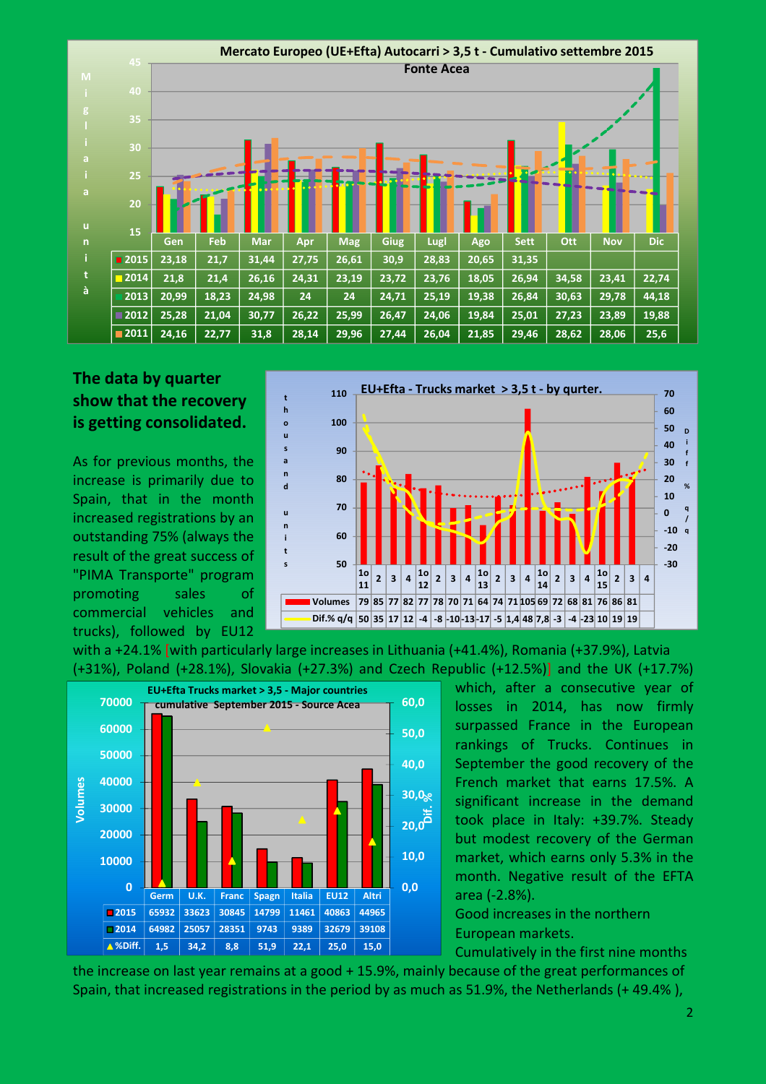

## The data by quarter show that the recovery is getting consolidated.

As for previous months, the increase is primarily due to Spain, that in the month increased registrations by an outstanding 75% (always the result of the great success of "PIMA Transporte" program promoting sales of commercial vehicles and trucks), followed by EU12



with a +24.1% [with particularly large increases in Lithuania (+41.4%), Romania (+37.9%), Latvia (+31%), Poland (+28.1%), Slovakia (+27.3%) and Czech Republic (+12.5%)] and the UK (+17.7%)



which, after a consecutive year of losses in 2014, has now firmly surpassed France in the European rankings of Trucks. Continues in September the good recovery of the French market that earns 17.5%. A significant increase in the demand took place in Italy: +39.7%. Steady but modest recovery of the German market, which earns only 5.3% in the month. Negative result of the EFTA area (-2.8%).

Good increases in the northern European markets.

Cumulatively in the first nine months the increase on last year remains at a good + 15.9%, mainly because of the great performances of Spain, that increased registrations in the period by as much as 51.9%, the Netherlands (+ 49.4% ),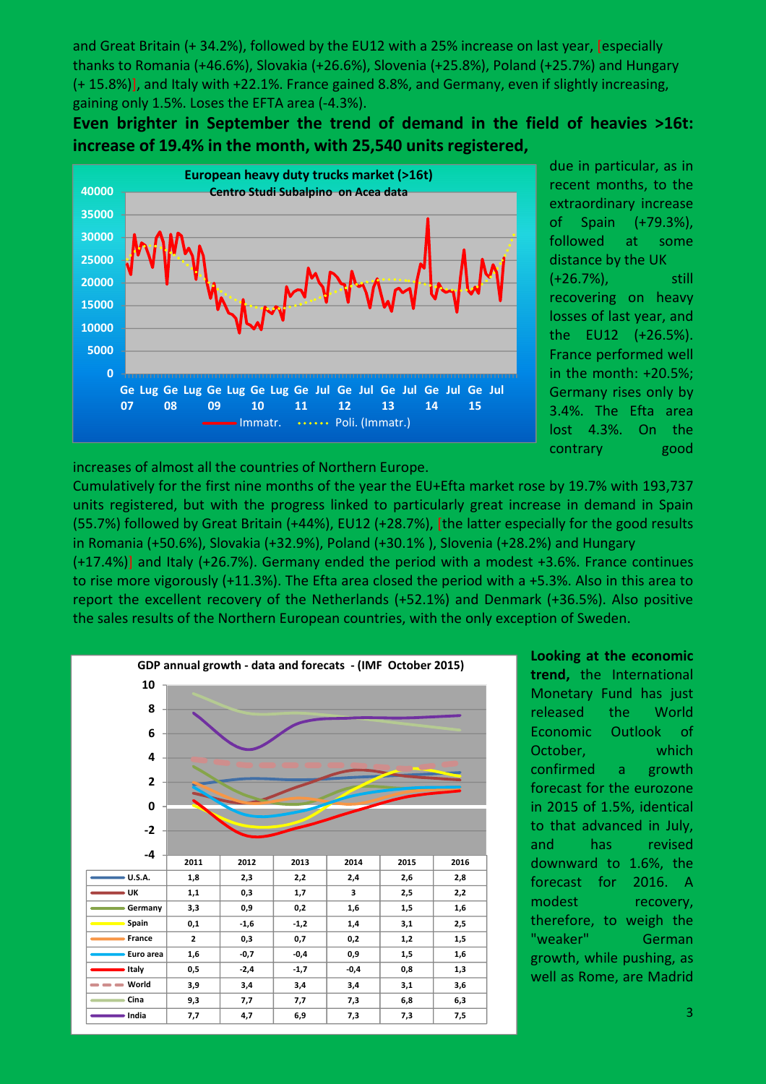and Great Britain (+ 34.2%), followed by the EU12 with a 25% increase on last year, [especially thanks to Romania (+46.6%), Slovakia (+26.6%), Slovenia (+25.8%), Poland (+25.7%) and Hungary (+ 15.8%)], and Italy with +22.1%. France gained 8.8%, and Germany, even if slightly increasing, gaining only 1.5%. Loses the EFTA area (-4.3%).

Even brighter in September the trend of demand in the field of heavies >16t: increase of 19.4% in the month, with 25,540 units registered,



due in particular, as in recent months, to the extraordinary increase of Spain (+79.3%), followed at some distance by the UK (+26.7%), still recovering on heavy losses of last year, and the EU12 (+26.5%). France performed well in the month: +20.5%; Germany rises only by 3.4%. The Efta area lost 4.3%. On the contrary good

increases of almost all the countries of Northern Europe.

Cumulatively for the first nine months of the year the EU+Efta market rose by 19.7% with 193,737 units registered, but with the progress linked to particularly great increase in demand in Spain (55.7%) followed by Great Britain (+44%), EU12 (+28.7%), [the latter especially for the good results in Romania (+50.6%), Slovakia (+32.9%), Poland (+30.1% ), Slovenia (+28.2%) and Hungary

(+17.4%)] and Italy (+26.7%). Germany ended the period with a modest +3.6%. France continues to rise more vigorously (+11.3%). The Efta area closed the period with a +5.3%. Also in this area to report the excellent recovery of the Netherlands (+52.1%) and Denmark (+36.5%). Also positive the sales results of the Northern European countries, with the only exception of Sweden.



Looking at the economic trend, the International Monetary Fund has just released the World Economic Outlook of October, which confirmed a growth forecast for the eurozone in 2015 of 1.5%, identical to that advanced in July, and has revised downward to 1.6%, the forecast for 2016. A modest recovery, therefore, to weigh the "weaker" German growth, while pushing, as well as Rome, are Madrid